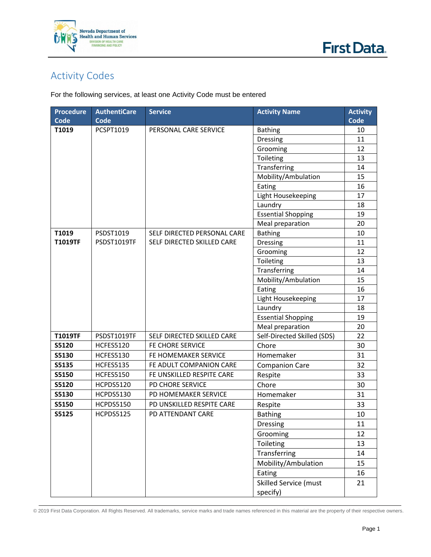



## Activity Codes

For the following services, at least one Activity Code must be entered

| <b>Procedure</b> | <b>AuthentiCare</b> | <b>Service</b>              | <b>Activity Name</b>        | <b>Activity</b> |
|------------------|---------------------|-----------------------------|-----------------------------|-----------------|
| <b>Code</b>      | Code                |                             |                             | <b>Code</b>     |
| T1019            | PCSPT1019           | PERSONAL CARE SERVICE       | <b>Bathing</b>              | 10              |
|                  |                     |                             | Dressing                    | 11              |
|                  |                     |                             | Grooming                    | 12              |
|                  |                     |                             | Toileting                   | 13              |
|                  |                     |                             | Transferring                | 14              |
|                  |                     |                             | Mobility/Ambulation         | 15              |
|                  |                     |                             | Eating                      | 16              |
|                  |                     |                             | Light Housekeeping          | 17              |
|                  |                     |                             | Laundry                     | 18              |
|                  |                     |                             | <b>Essential Shopping</b>   | 19              |
|                  |                     |                             | Meal preparation            | 20              |
| T1019            | PSDST1019           | SELF DIRECTED PERSONAL CARE | <b>Bathing</b>              | 10              |
| <b>T1019TF</b>   | PSDST1019TF         | SELF DIRECTED SKILLED CARE  | <b>Dressing</b>             | 11              |
|                  |                     |                             | Grooming                    | 12              |
|                  |                     |                             | Toileting                   | 13              |
|                  |                     |                             | Transferring                | 14              |
|                  |                     |                             | Mobility/Ambulation         | 15              |
|                  |                     |                             | Eating                      | 16              |
|                  |                     |                             | Light Housekeeping          | 17              |
|                  |                     |                             | Laundry                     | 18              |
|                  |                     |                             | <b>Essential Shopping</b>   | 19              |
|                  |                     |                             | Meal preparation            | 20              |
| T1019TF          | PSDST1019TF         | SELF DIRECTED SKILLED CARE  | Self-Directed Skilled (SDS) | 22              |
| <b>S5120</b>     | <b>HCFES5120</b>    | FE CHORE SERVICE            | Chore                       | 30              |
| S5130            | HCFES5130           | FE HOMEMAKER SERVICE        | Homemaker                   | 31              |
| S5135            | <b>HCFES5135</b>    | FE ADULT COMPANION CARE     | <b>Companion Care</b>       | 32              |
| S5150            | <b>HCFES5150</b>    | FE UNSKILLED RESPITE CARE   | Respite                     | 33              |
| S5120            | <b>HCPDS5120</b>    | PD CHORE SERVICE            | Chore                       | 30              |
| S5130            | HCPDS5130           | PD HOMEMAKER SERVICE        | Homemaker                   | 31              |
| S5150            | <b>HCPDS5150</b>    | PD UNSKILLED RESPITE CARE   | Respite                     | 33              |
| S5125            | <b>HCPDS5125</b>    | PD ATTENDANT CARE           | <b>Bathing</b>              | 10              |
|                  |                     |                             | <b>Dressing</b>             | 11              |
|                  |                     |                             | Grooming                    | 12              |
|                  |                     |                             | Toileting                   | 13              |
|                  |                     |                             | Transferring                | 14              |
|                  |                     |                             | Mobility/Ambulation         | 15              |
|                  |                     |                             | Eating                      | 16              |
|                  |                     |                             | Skilled Service (must       | 21              |
|                  |                     |                             | specify)                    |                 |

© 2019 First Data Corporation. All Rights Reserved. All trademarks, service marks and trade names referenced in this material are the property of their respective owners.